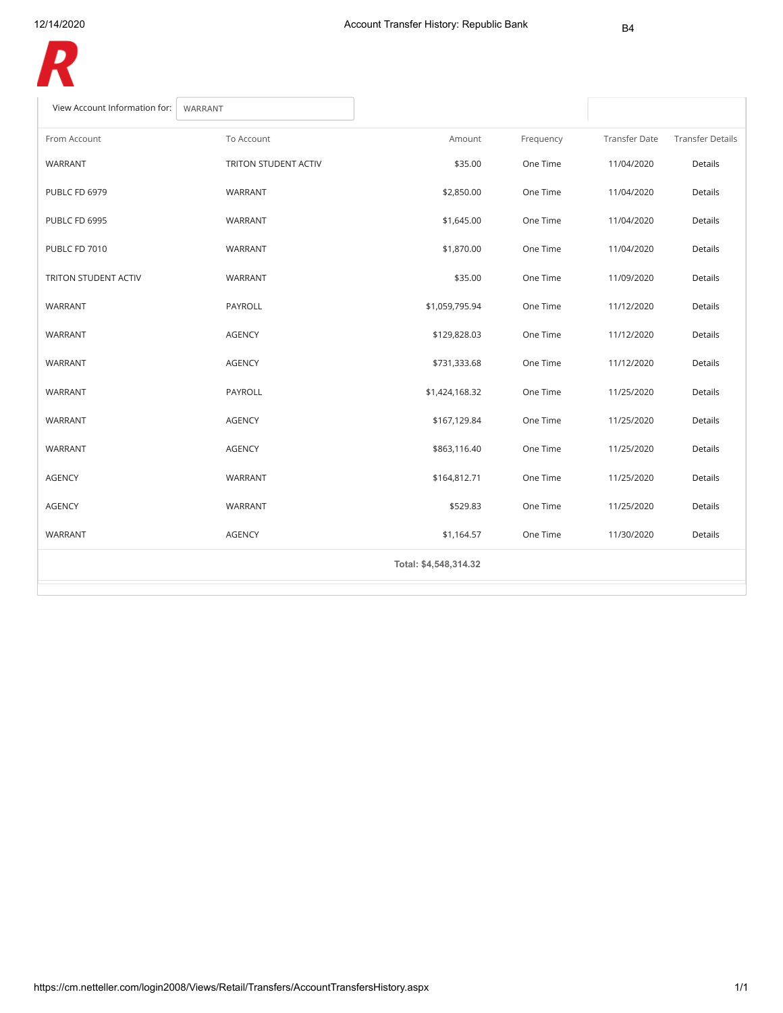

| View Account Information for:<br>WARRANT |                      |                       |           |                      |                         |
|------------------------------------------|----------------------|-----------------------|-----------|----------------------|-------------------------|
| From Account                             | To Account           | Amount                | Frequency | <b>Transfer Date</b> | <b>Transfer Details</b> |
| WARRANT                                  | TRITON STUDENT ACTIV | \$35.00               | One Time  | 11/04/2020           | Details                 |
| PUBLC FD 6979                            | WARRANT              | \$2,850.00            | One Time  | 11/04/2020           | Details                 |
| PUBLC FD 6995                            | WARRANT              | \$1,645.00            | One Time  | 11/04/2020           | Details                 |
| PUBLC FD 7010                            | WARRANT              | \$1,870.00            | One Time  | 11/04/2020           | Details                 |
| TRITON STUDENT ACTIV                     | WARRANT              | \$35.00               | One Time  | 11/09/2020           | Details                 |
| WARRANT                                  | PAYROLL              | \$1,059,795.94        | One Time  | 11/12/2020           | Details                 |
| WARRANT                                  | <b>AGENCY</b>        | \$129,828.03          | One Time  | 11/12/2020           | Details                 |
| WARRANT                                  | <b>AGENCY</b>        | \$731,333.68          | One Time  | 11/12/2020           | Details                 |
| WARRANT                                  | PAYROLL              | \$1,424,168.32        | One Time  | 11/25/2020           | Details                 |
| WARRANT                                  | <b>AGENCY</b>        | \$167,129.84          | One Time  | 11/25/2020           | Details                 |
| WARRANT                                  | <b>AGENCY</b>        | \$863,116.40          | One Time  | 11/25/2020           | Details                 |
| <b>AGENCY</b>                            | WARRANT              | \$164,812.71          | One Time  | 11/25/2020           | Details                 |
| <b>AGENCY</b>                            | WARRANT              | \$529.83              | One Time  | 11/25/2020           | Details                 |
| <b>WARRANT</b>                           | <b>AGENCY</b>        | \$1,164.57            | One Time  | 11/30/2020           | Details                 |
|                                          |                      | Total: \$4,548,314.32 |           |                      |                         |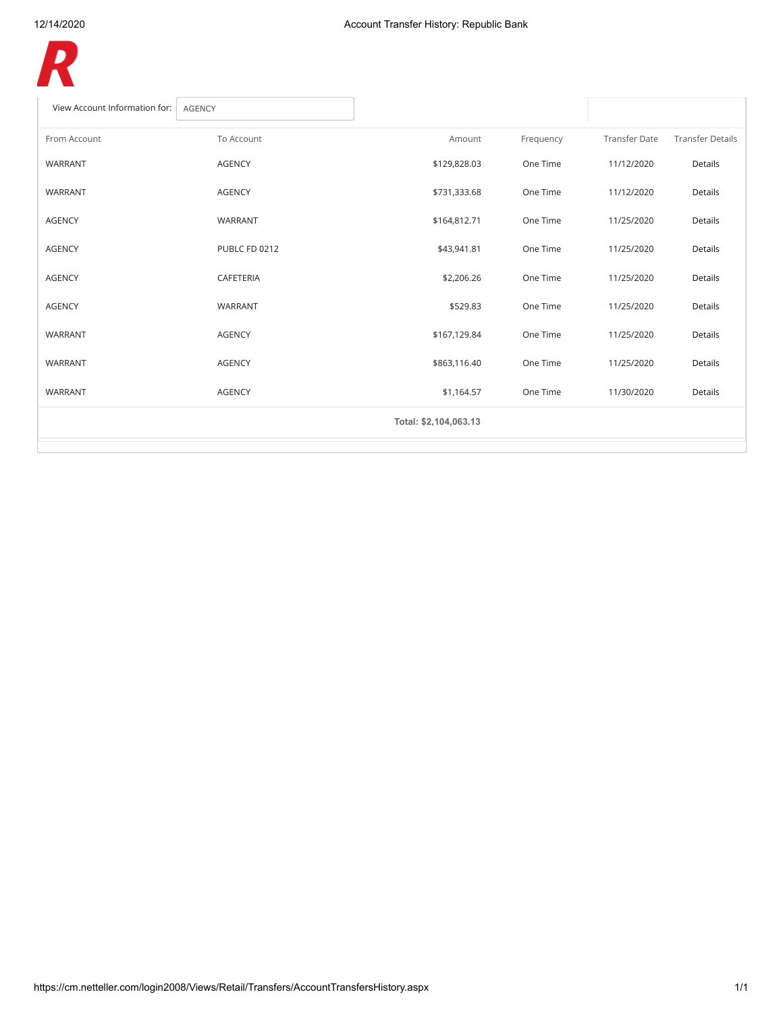

| View Account Information for:<br><b>AGENCY</b> |               |                       |           |                      |                         |
|------------------------------------------------|---------------|-----------------------|-----------|----------------------|-------------------------|
| From Account                                   | To Account    | Amount                | Frequency | <b>Transfer Date</b> | <b>Transfer Details</b> |
| WARRANT                                        | <b>AGENCY</b> | \$129,828.03          | One Time  | 11/12/2020           | Details                 |
| WARRANT                                        | <b>AGENCY</b> | \$731,333.68          | One Time  | 11/12/2020           | Details                 |
| <b>AGENCY</b>                                  | WARRANT       | \$164,812.71          | One Time  | 11/25/2020           | Details                 |
| <b>AGENCY</b>                                  | PUBLC FD 0212 | \$43,941.81           | One Time  | 11/25/2020           | Details                 |
| <b>AGENCY</b>                                  | CAFETERIA     | \$2,206.26            | One Time  | 11/25/2020           | <b>Details</b>          |
| <b>AGENCY</b>                                  | WARRANT       | \$529.83              | One Time  | 11/25/2020           | Details                 |
| WARRANT                                        | <b>AGENCY</b> | \$167,129.84          | One Time  | 11/25/2020           | Details                 |
| WARRANT                                        | <b>AGENCY</b> | \$863,116.40          | One Time  | 11/25/2020           | Details                 |
| WARRANT                                        | <b>AGENCY</b> | \$1,164.57            | One Time  | 11/30/2020           | Details                 |
|                                                |               | Total: \$2,104,063.13 |           |                      |                         |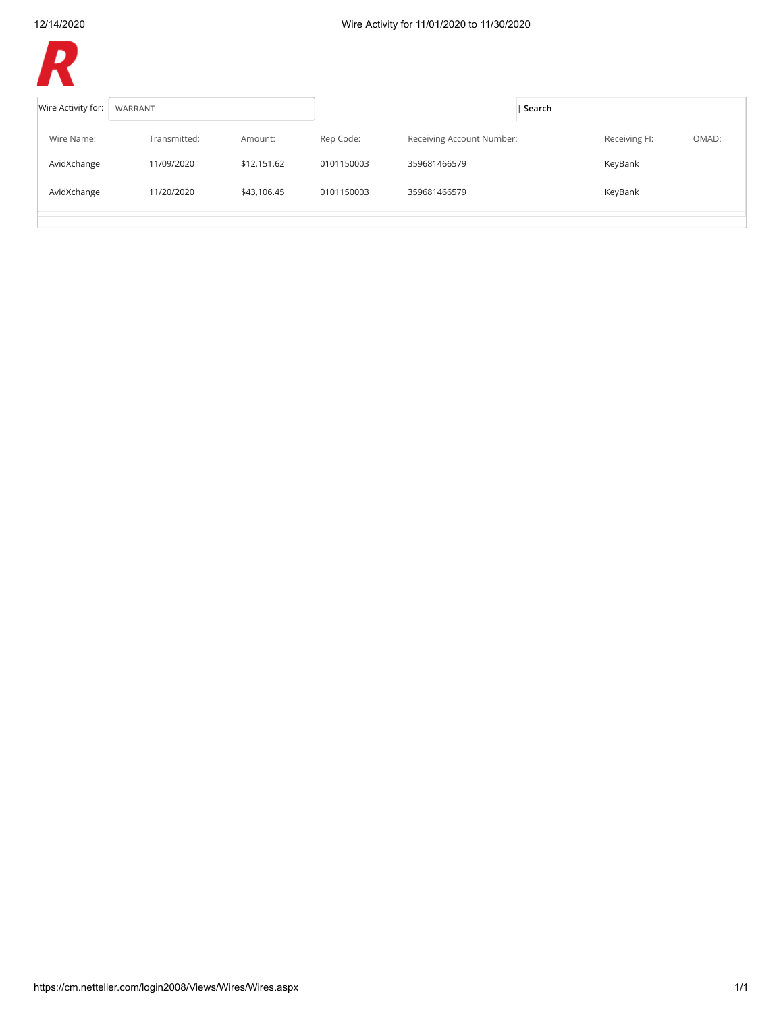

| Wire Activity for: | WARRANT      |             | Search     |                           |  |               |       |
|--------------------|--------------|-------------|------------|---------------------------|--|---------------|-------|
| Wire Name:         | Transmitted: | Amount:     | Rep Code:  | Receiving Account Number: |  | Receiving FI: | OMAD: |
| AvidXchange        | 11/09/2020   | \$12,151.62 | 0101150003 | 359681466579              |  | KeyBank       |       |
| AvidXchange        | 11/20/2020   | \$43,106.45 | 0101150003 | 359681466579              |  | KeyBank       |       |
|                    |              |             |            |                           |  |               |       |